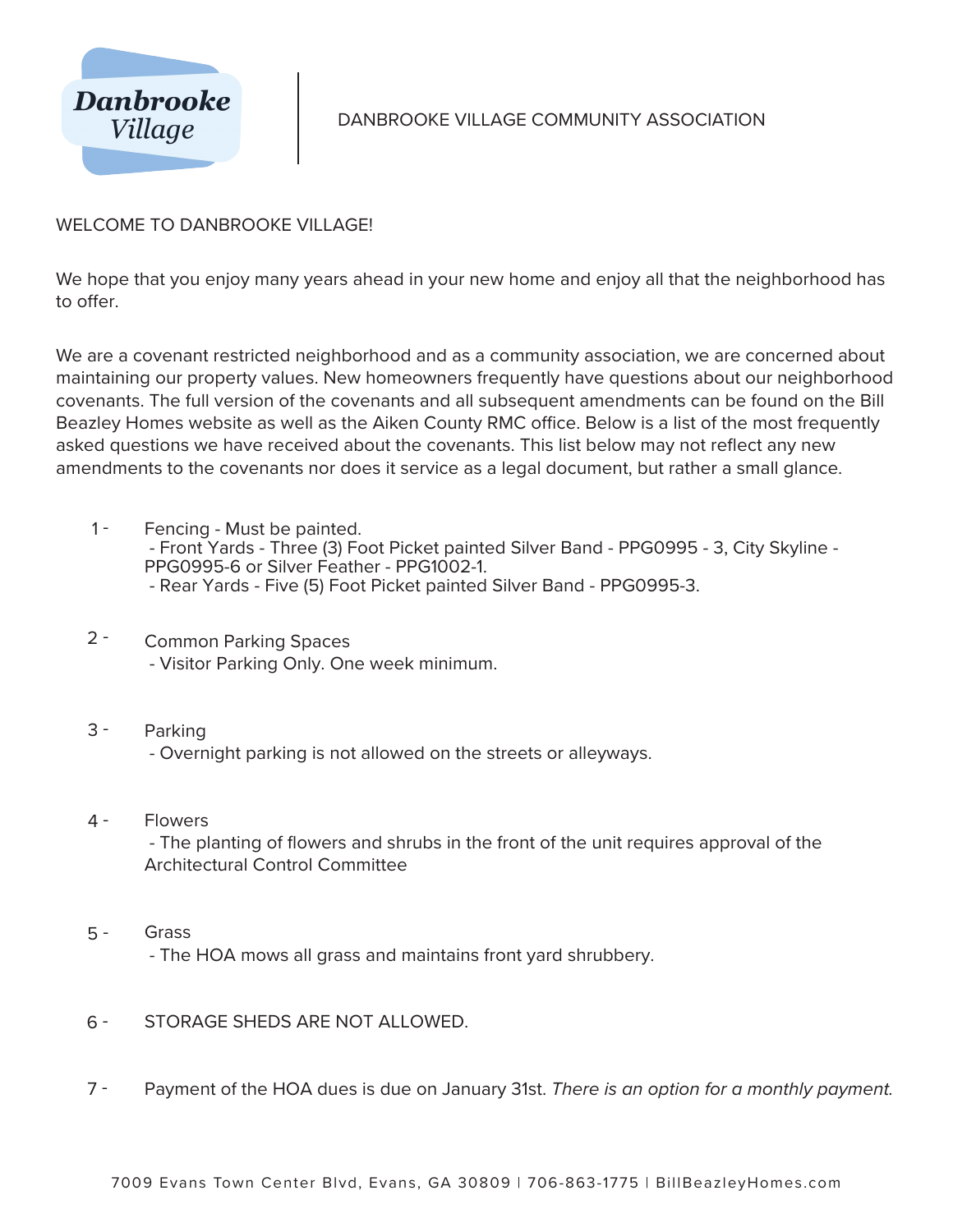

## DANBROOKE VILLAGE COMMUNITY ASSOCIATION

## WELCOME TO DANBROOKE VILLAGE!

We hope that you enjoy many years ahead in your new home and enjoy all that the neighborhood has to offer.

We are a covenant restricted neighborhood and as a community association, we are concerned about maintaining our property values. New homeowners frequently have questions about our neighborhood covenants. The full version of the covenants and all subsequent amendments can be found on the Bill Beazley Homes website as well as the Aiken County RMC office. Below is a list of the most frequently asked questions we have received about the covenants. This list below may not reflect any new amendments to the covenants nor does it service as a legal document, but rather a small glance.

- $1 -$ Fencing - Must be painted. - Front Yards - Three (3) Foot Picket painted Silver Band - PPG0995 - 3, City Skyline - PPG0995-6 or Silver Feather - PPG1002-1. - Rear Yards - Five (5) Foot Picket painted Silver Band - PPG0995-3.
- $2 -$ Common Parking Spaces - Visitor Parking Only. One week minimum.
- 3 Parking - Overnight parking is not allowed on the streets or alleyways.
- 4 **Flowers**

 - The planting of flowers and shrubs in the front of the unit requires approval of the Architectural Control Committee

Grass 5 -

- The HOA mows all grass and maintains front yard shrubbery.

- STORAGE SHEDS ARE NOT ALLOWED. 6 -
- Payment of the HOA dues is due on January 31st. There is an option for a monthly payment. 7 -